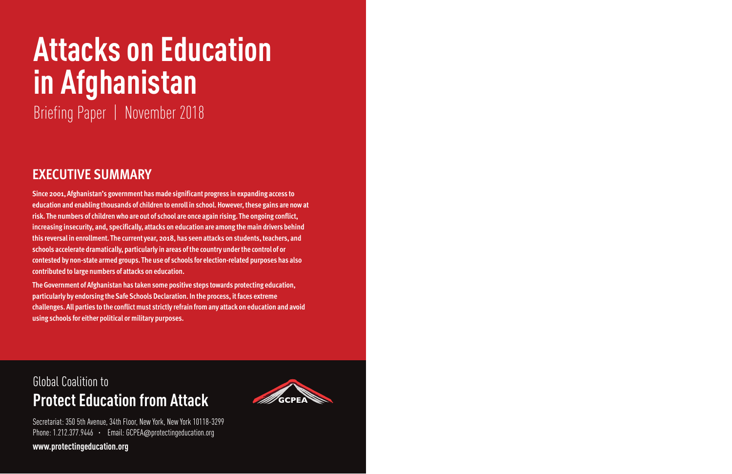# **Attacks on Education in Afghanistan**

Briefing Paper | November 2018

## **EXECUTIVE SUMMARY**

**Since 2001, Afghanistan's government has made significant progress in expanding access to education and enabling thousands of children to enroll in school. However, these gains are now at risk. The numbers of children who are out of school are once again rising. The ongoing conflict, increasing insecurity, and, specifically, attacks on education are among the main drivers behind this reversal in enrollment. The current year, 2018, has seen attacks on students, teachers, and schools accelerate dramatically, particularly in areas of the country under the control of or contested by non-state armed groups. The use of schools for election-related purposes has also contributed to large numbers of attacks on education.** 

**The Government of Afghanistan has taken some positive steps towards protecting education, particularly by endorsing the Safe Schools Declaration. In the process, it faces extreme challenges. All parties to the conflict must strictly refrain from any attack on education and avoid using schools for either political or military purposes.**

## Global Coalition to **Protect Education from Attack**



Secretariat: 350 5th Avenue, 34th Floor, New York, New York 10118-3299 Phone: 1.212.377.9446 · Email: GCPEA@protectingeducation.org

**www.protectingeducation.org**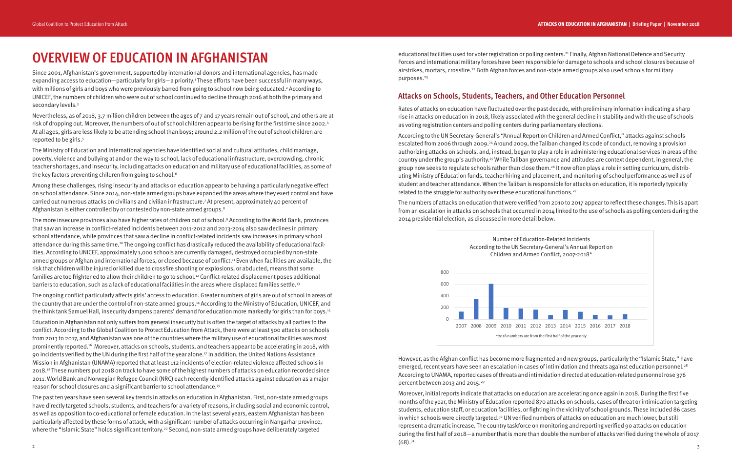#### **Attacks on Schools, Students, Teachers, and Other Education Personnel**

Rates of attacks on education have fluctuated over the past decade, with preliminary information indicating a sharp rise in attacks on education in 2018, likely associated with the general decline in stability and with the use of schools as voting registration centers and polling centers during parliamentary elections.

According to the UN Secretary-General's "Annual Report on Children and Armed Conflict," attacks against schools escalated from 2006 through 2009.24 Around 2009, the Taliban changed its code of conduct, removing a provision authorizing attacks on schools, and, instead, began to play a role in administering educational services in areas of the country under the group's authority.25 While Taliban governance and attitudes are context dependent, in general, the group now seeks to regulate schools rather than close them.<sup>26</sup> It now often plays a role in setting curriculum, distributing Ministry of Education funds, teacher hiring and placement, and monitoring of school performance as well as of student and teacher attendance. When the Taliban is responsible for attacks on education, it is reportedly typically related to the struggle for authority over these educational functions.27

Since 2001, Afghanistan's government, supported by international donors and international agencies, has made expanding access to education—particularly for girls—a priority.1 These efforts have been successful in many ways, with millions of girls and boys who were previously barred from going to school now being educated.<sup>2</sup> According to UNICEF, the numbers of children who were out of school continued to decline through 2016 at both the primary and secondary levels.<sup>3</sup>

Nevertheless, as of 2018, 3.7 million children between the ages of 7 and 17 years remain out of school, and others are at risk of dropping out. Moreover, the numbers of out of school children appear to be rising for the first time since 2002.4 At all ages, girls are less likely to be attending school than boys; around 2.2 million of the out of school children are reported to be girls.<sup>5</sup>

> The numbers of attacks on education that were verified from 2010 to 2017 appear to reflect these changes. This is apart from an escalation in attacks on schools that occurred in 2014 linked to the use of schools as polling centers during the 2014 presidential election, as discussed in more detail below.

The Ministry of Education and international agencies have identified social and cultural attitudes, child marriage, poverty, violence and bullying at and on the way to school, lack of educational infrastructure, overcrowding, chronic teacher shortages, and insecurity, including attacks on education and military use of educational facilities, as some of the key factors preventing children from going to school.<sup>6</sup>

> However, as the Afghan conflict has become more fragmented and new groups, particularly the "Islamic State," have emerged, recent years have seen an escalation in cases of intimidation and threats against education personnel.<sup>28</sup> According to UNAMA, reported cases of threats and intimidation directed at education-related personnel rose 376 percent between 2013 and 2015.29

Among these challenges, rising insecurity and attacks on education appear to be having a particularly negative effect on school attendance. Since 2014, non-state armed groups have expanded the areas where they exert control and have carried out numerous attacks on civilians and civilian infrastructure.7 At present, approximately 40 percent of Afghanistan is either controlled by or contested by non-state armed groups.<sup>8</sup>

> Moreover, initial reports indicate that attacks on education are accelerating once again in 2018. During the first five months of the year, the Ministry of Education reported 870 attacks on schools, cases of threat or intimidation targeting students, education staff, or education facilities, or fighting in the vicinity of school grounds. These included 86 cases in which schools were directly targeted.<sup>30</sup> UN verified numbers of attacks on education are much lower, but still represent a dramatic increase. The country taskforce on monitoring and reporting verified 90 attacks on education during the first half of 2018—a number that is more than double the number of attacks verified during the whole of 2017 (68).31

## **OVERVIEW OF EDUCATION IN AFGHANISTAN**

The past ten years have seen several key trends in attacks on education in Afghanistan. First, non-state armed groups have directly targeted schools, students, and teachers for a variety of reasons, including social and economic control, as well as opposition to co-educational or female education. In the last several years, eastern Afghanistan has been particularly affected by these forms of attack, with a significant number of attacks occurring in Nangarhar province, where the "Islamic State" holds significant territory.<sup>20</sup> Second, non-state armed groups have deliberately targeted

educational facilities used for voter registration or polling centers.<sup>21</sup> Finally, Afghan National Defence and Security Forces and international military forces have been responsible for damage to schools and school closures because of airstrikes, mortars, crossfire.22 Both Afghan forces and non-state armed groups also used schools for military purposes.<sup>23</sup>

The more insecure provinces also have higher rates of children out of school.9 According to the World Bank, provinces that saw an increase in conflict-related incidents between 2011-2012 and 2013-2014 also saw declines in primary school attendance, while provinces that saw a decline in conflict-related incidents saw increases in primary school attendance during this same time.10 The ongoing conflict has drastically reduced the availability of educational facilities. According to UNICEF, approximately 1,000 schools are currently damaged, destroyed occupied by non-state armed groups or Afghan and international forces, or closed because of conflict.11 Even when facilities are available, the risk that children will be injured or killed due to crossfire shooting or explosions, or abducted, means that some families are too frightened to allow their children to go to school.12 Conflict-related displacement poses additional barriers to education, such as a lack of educational facilities in the areas where displaced families settle.13

The ongoing conflict particularly affects girls' access to education. Greater numbers of girls are out of school in areas of the country that are under the control of non-state armed groups.14 According to the Ministry of Education, UNICEF, and the think tank Samuel Hall, insecurity dampens parents' demand for education more markedly for girls than for boys.15

Education in Afghanistan not only suffers from general insecurity but is often the target of attacks by all parties to the conflict. According to the Global Coalition to Protect Education from Attack, there were at least 500 attacks on schools from 2013 to 2017, and Afghanistan was one of the countries where the military use of educational facilities was most prominently reported.16 Moreover, attacks on schools, students, and teachers appear to be accelerating in 2018, with 90 incidents verified by the UN during the first half of the year alone.17 In addition, the United Nations Assistance Mission in Afghanistan (UNAMA) reported that at least 112 incidents of election-related violence affected schools in 2018.18 These numbers put 2018 on track to have some of the highest numbers of attacks on education recorded since 2011. World Bank and Norwegian Refugee Council (NRC) each recently identified attacks against education as a major reason for school closures and a significant barrier to school attendance.19

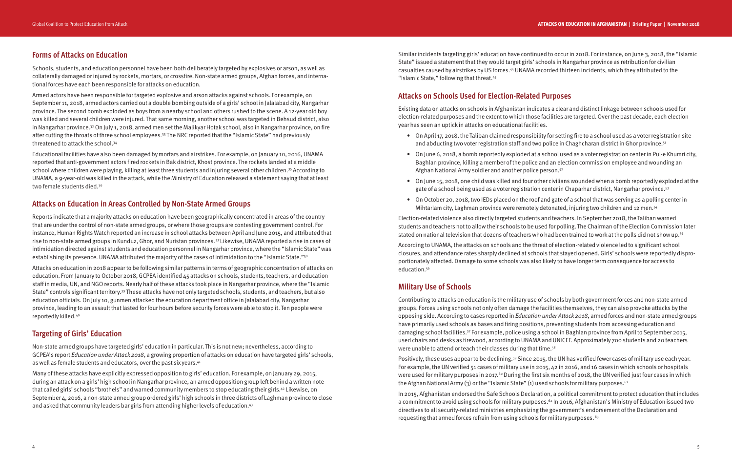Similar incidents targeting girls' education have continued to occur in 2018. For instance, on June 3, 2018, the "Islamic State" issued a statement that they would target girls' schools in Nangarhar province as retribution for civilian casualties caused by airstrikes by US forces.44 UNAMA recorded thirteen incidents, which they attributed to the "Islamic State," following that threat.45

- On April 17, 2018, the Taliban claimed responsibility for setting fire to a school used as a voter registration site and abducting two voter registration staff and two police in Chaghcharan district in Ghor province.<sup>51</sup>
- On June 6, 2018, a bomb reportedly exploded at a school used as a voter registration center in Pul-e Khumri city, Baghlan province, killing a member of the police and an election commission employee and wounding an Afghan National Army soldier and another police person.52
- On June 15, 2018, one child was killed and four other civilians wounded when a bomb reportedly exploded at the gate of a school being used as a voter registration center in Chaparhar district, Nangarhar province.53
- On October 20, 2018, two IEDs placed on the roof and gate of a school that was serving as a polling center in Mihtarlam city, Laghman province were remotely detonated, injuring two children and 12 men.<sup>54</sup>

### **Attacks on Schools Used for Election-Related Purposes**

Existing data on attacks on schools in Afghanistan indicates a clear and distinct linkage between schools used for election-related purposes and the extent to which those facilities are targeted. Over the past decade, each election

year has seen an uptick in attacks on educational facilities.

portionately affected. Damage to some schools was also likely to have longer term consequence for access to education.<sup>56</sup>

- Election-related violence also directly targeted students and teachers. In September 2018, the Taliban warned students and teachers not to allow their schools to be used for polling. The Chairman of the Election Commission later stated on national television that dozens of teachers who had been trained to work at the polls did not show up.55
- According to UNAMA, the attacks on schools and the threat of election-related violence led to significant school closures, and attendance rates sharply declined at schools that stayed opened. Girls' schools were reportedly dispro-

- Positively, these uses appear to be declining.<sup>59</sup> Since 2015, the UN has verified fewer cases of military use each year. For example, the UN verified 51 cases of military use in 2015, 42 in 2016, and 16 cases in which schools or hospitals were used for military purposes in 2017.<sup>60</sup> During the first six months of 2018, the UN verified just four cases in which
- In 2015, Afghanistan endorsed the Safe Schools Declaration, a political commitment to protect education that includes a commitment to avoid using schools for military purposes.<sup>62</sup> In 2016, Afghanistan's Ministry of Education issued two

#### **Military Use of Schools**

Contributing to attacks on education is the military use of schools by both government forces and non-state armed groups. Forces using schools not only often damage the facilities themselves, they can also provoke attacks by the opposing side. According to cases reported in *Education under Attack 2018*, armed forces and non-state armed groups have primarily used schools as bases and firing positions, preventing students from accessing education and damaging school facilities.57 For example, police using a school in Baghlan province from April to September 2015, used chairs and desks as firewood, according to UNAMA and UNICEF. Approximately 700 students and 20 teachers were unable to attend or teach their classes during that time.58

the Afghan National Army (3) or the "Islamic State" (1) used schools for military purposes.<sup>61</sup>

Non-state armed groups have targeted girls' education in particular. This is not new; nevertheless, according to GCPEA's report Education under Attack 2018, a growing proportion of attacks on education have targeted girls' schools, as well as female students and educators, over the past six years.<sup>41</sup>

Many of these attacks have explicitly expressed opposition to girls' education. For example, on January 29, 2015, during an attack on a girls' high school in Nangarhar province, an armed opposition group left behind a written note that called girls' schools "brothels" and warned community members to stop educating their girls.42 Likewise, on September 4, 2016, a non-state armed group ordered girls' high schools in three districts of Laghman province to close and asked that community leaders bar girls from attending higher levels of education.<sup>43</sup>

directives to all security-related ministries emphasizing the government's endorsement of the Declaration and requesting that armed forces refrain from using schools for military purposes. 63

#### **Forms of Attacks on Education**

Schools, students, and education personnel have been both deliberately targeted by explosives or arson, as well as collaterally damaged or injured by rockets, mortars, or crossfire. Non-state armed groups, Afghan forces, and international forces have each been responsible for attacks on education.

Armed actors have been responsible for targeted explosive and arson attacks against schools. For example, on September 11, 2018, armed actors carried out a double bombing outside of a girls' school in Jalalabad city, Nangarhar province. The second bomb exploded as boys from a nearby school and others rushed to the scene. A 12-year old boy was killed and several children were injured. That same morning, another school was targeted in Behsud district, also in Nangarhar province.<sup>32</sup> On July 1, 2018, armed men set the Malikyar Hotak school, also in Nangarhar province, on fire after cutting the throats of three school employees.33 The NRC reported that the "Islamic State" had previously threatened to attack the school.34

Educational facilities have also been damaged by mortars and airstrikes. For example, on January 10, 2016, UNAMA reported that anti-government actors fired rockets in Bak district, Khost province. The rockets landed at a middle school where children were playing, killing at least three students and injuring several other children.<sup>35</sup> According to UNAMA, a 9-year-old was killed in the attack, while the Ministry of Education released a statement saying that at least two female students died.36

#### **Attacks on Education in Areas Controlled by Non-State Armed Groups**

Reports indicate that a majority attacks on education have been geographically concentrated in areas of the country that are under the control of non-state armed groups, or where those groups are contesting government control. For instance, Human Rights Watch reported an increase in school attacks between April and June 2015, and attributed that rise to non-state armed groups in Kunduz, Ghor, and Nuristan provinces. 37 Likewise, UNAMA reported a rise in cases of intimidation directed against students and education personnel in Nangarhar province, where the "Islamic State" was establishing its presence. UNAMA attributed the majority of the cases of intimidation to the "Islamic State."38

Attacks on education in 2018 appear to be following similar patterns in terms of geographic concentration of attacks on education. From January to October 2018, GCPEA identified 45 attacks on schools, students, teachers, and education staff in media, UN, and NGO reports. Nearly half of these attacks took place in Nangarhar province, where the "Islamic State" controls significant territory.39 These attacks have not only targeted schools, students, and teachers, but also education officials. On July 10, gunmen attacked the education department office in Jalalabad city, Nangarhar province, leading to an assault that lasted for four hours before security forces were able to stop it. Ten people were reportedly killed.40

#### **Targeting of Girls' Education**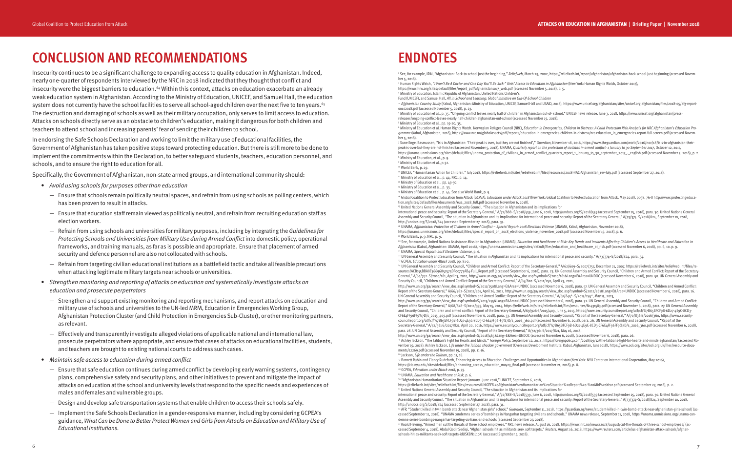## **ENDNOTES**

2 Human Rights Watch, *"I Won't Be A Doctor and One Day You'll Be Sick:" Girls' Access to Education in Afghanistan* (New York: Human Rights Watch, October 2017), https://www.hrw.org/sites/default/files/report\_pdf/afghanistan1017\_web.pdf (accessed November 5, 2018), p. 5. <sup>3</sup> Ministry of Education, Islamic Republic of Afghanistan, United Nations Children's

1 See, for example, IRIN, "Afghanistan: Back-to-school just the beginning," *Reliefweb*, March 29, 2002, https://reliefweb.int/report/afghanistan/afghanistan-back-school-just-beginning (accessed November 5, 2018).

Fund (UNICEF), and Samuel Hall, *All in School and Learning: Global Initiative on Out-Of-School Children – Afghanistan Country Study* (Kabul, Afghanistan: Ministry of Education, UNICEF, Samuel Hall and USAID, 2018), https://www.unicef.org/afghanistan/sites/unicef.org.afghanistan/fles/2018-05/afg-reportoocs2018.pdf (accessed November 5, 2018), p. 23.

<sup>6</sup> Ministry of Education et al. Human Rights Watch. Norwegian Refugee Council (NRC), *Education in Emergencies, Children in Distress: A Child Protection Risk Analysis for NRC Afghanistan's Education Pro*gramme (Kabul, Afghanistan, 2018), https://www.nrc.no/globalassets/pdf/reports/education-in-emergencies-children-in-distress/nrc-education\_in\_emergencies-report-full-screen.pdf (accessed November 5, 2018).

4 Ministry of Education et al., p. 35. "Ongoing conflict leaves nearly half of children in Afghanistan out-of- school," UNICEF news release, June 3, 2018, https://www.unicef.org/afghanistan/pressreleases/ongoing-conflict-leaves-nearly-half-children-afghanistan-out-school (accessed November 19, 2018). 5 Ministry of Education et al., pp. 19-20, 35.

7 Sune Engel Rasmussen, "Isis in Afghanistan: 'Their peak is over, but they are not fnished'," *Guardian*, November 18, 2016, https://www.theguardian.com/world/2016/nov/18/isis-in-afghanistan-theirpeak-is-over-but-they-are-not-finished (accessed November 5, 2018). UNAMA, *Quarterly report on the protection of civilians in armed conflict: 1 January to 30 September 2017*, October 12, 2017, https://unama.unmissions.org/sites/default/files/unama\_protection\_of\_civilians\_in\_armed\_conflict\_quarterly\_report\_1\_january\_to\_30\_september\_2017\_-\_english.pdf (accessed November 5, 2018), p. 2. Ministry of Education, et al., p. 9. 9 Ministry of Education et al., p.32.

10 World Bank, p. 29.

<sup>11</sup> UNICEF, "Humanitarian Action for Children," July 2018, https://reliefweb.int/sites/reliefweb.int/files/resources/2018-HAC-Afghanistan\_rev-July.pdf (accessed September 27, 2018).<br><sup>12</sup> Ministry of Education et al., p. 4

<sup>13</sup> Ministry of Education et al., pp. 49-50.

<sup>14</sup> Ministry of Education et al., p. 33.

<sup>15</sup> Ministry of Education et al., p. 44. See also World Bank, p. 9.

<sup>16</sup> Global Coalition to Protect Education from Attack (GCPEA), *Education under Attack 2018* (New York: Global Coalition to Protect Education from Attack, May 2018), pp38, 76-8 http://www.protectingeducation.org/sites/default/files/documents/eua\_2018\_full.pdf (accessed November 6, 2018).<br><sup>17</sup> United Nations General Assembly and Security Council, "The situation in Afghanistan and its implications for international peace and security: Report of the Secretary-General," A/72/888–S/2018/539, June 6, 2018, http://undocs.org/S/2018/539 (accessed September 25, 2018), para. 30. United Nations General Assembly and Security Council, "The situation in Afghanistan and its implications for international peace and security: Report of the Secretary-General," A/73/374-S/2018/824, September 10, 2018,

http://undocs.org/S/2018/824 (accessed September 27, 2018), para. 34.<br><sup>38</sup> UNAMA, *Afghanistan: Protection of Civilians in Armed Conflict – Special Report: 2018 Elections Violence (UNAMA, Kabul, Afghanistan, November 2018)* https://unama.unmissions.org/sites/default/files/special\_report\_on\_2018\_elections\_violence\_november\_2018.pdf (accessed November 19, 2018), p. 6.<br><sup>99</sup> World Bank, p. 9. NRC, p. 9.

<sup>20</sup> See, for example, United Nations Assistance Mission in Afghanistan (UNAMA), *Education and Healthcare at Risk: Key Trends and Incidents Affecting Children's Access to Healthcare and Education in<br>Afghanistan (Kabul, Af* 

<sup>21</sup> UNAMA, *Special Report: 2018 Elections Violence*, p. 6.<br><sup>22</sup> UN General Assembly and Security Council, "The situation in Afghanistan and its implications for international peace and security," A/73/374–S/2018/824, par

sources/ACB155BBA8E36696852573DF00773AB4-Full\_Report.pdf (accessed September 6, 2018), para. 23. UN General Assembly and Security Council, "Children and Armed Conflict: Report of the Secretary-General," A/64/742-S/2010/181, April 13, 2010, http://www.un.org/ga/search/view\_doc.asp?symbol=S/2010/181&Lang=E&Area=UNDOC (accessed November 6, 2018), para. 50. UN General Assembly and Security Council, "Children and Armed Conflict: Report of the Secretary-General," A/65/820–S/2011/250, April 23, 2011, http://www.un.org/ga/search/view\_doc.asp?symbol=S/2011/250&Lang=E&Area=UNDOC (accessed November 6, 2018), para. 57. UN General Assembly and Security Council, "Children and Armed Conflict: Report of the Secretary-General," A/66/782–S/2012/261, April 26, 2012, http://www.un.org/ga/search/view\_doc.asp?symbol=S/2012/261&Lang=E&Area=UNDOC (accessed November 6, 2018), para. 16. UN General Assembly and Security Council, "Children and Armed Conflict: Report of the Secretary-General," A/67/845\*–S/2013/245\*, May 15, 2013, http://www.un.org/ga/search/view\_doc.asp?symbol=S/2013/245&Lang=E&Area=UNDOC (accessed November 6, 2018), para. 31. UN General Assembly and Security Council, "Children and Armed Conflict: Report of the Secretary-General," A/68/878-S/2014/339, May 15, 2014, https://reliefweb.int/sites/reliefweb.int/files/resources/N1431583.pdf (accessed November 6, 2018), para. 27. UN General Assembly and Security Council, "Children and armed conflict: Report of the Secretary-General, A/69/926-S/2015/409, June 5, 2015, https://www.securitycouncilreport.org/atf/cf/%7B65BFCF9B-6D27-4E9C-8CD3- CF6E4FF96FF9%7D/s\_2015\_409.pdf (accessed November 6, 2018), para. 33. UN General Assembly and Security Council, "Report of the Secretary-General," A/70/836-S/2016/360, https://www.securitycouncilreport.org/atf/cf/%7B65BFCF9B-6D27-4E9C-8CD3-CF6E4FF96FF9%7D/s\_2016\_360.pdf (accessed November 6, 2018), para. 26. UN General Assembly and Security Council, "Report of the Secretary-General," A/72/361-S/2017/821, April 20, 2016, https://www.securitycouncilreport.org/atf/cf/%7B65BFCF9B-6D27-4E9C-8CD3-CF6E4FF96FF9%7D/s\_2016\_360.pdf (accessed November 6, 2018), para. 28. UN General Assembly and Security Council, "Report of the Secretary-General," A/72/361-S/2017/821, May 16, 2018, http://www.un.org/ga/search/view\_doc.asp?symbol=S/2018/465&Lang=E&Area=UNDOC (accessed November 6, 2018), (accessed November 6, 2018), para. 26.<br><sup>25</sup> Ashley Jackson, "The Taliban's Fight for Hearts and Minds," Foreign Poli vember 19, 2018). Ashley Jackson, Life under the Taliban shadow government (Overseas Development Institute: Kabul, Afghanistan, June2018), https://www.odi.org/sites/odi.org.uk/files/resource-documents/12269.pdf (accessed November 19, 2018), pp. 11-16.<br><sup>26</sup> Jackson, *Life under the Taliban*, pp. 11, 16.

<sup>27</sup> Barnett Rubin and Clancy Rudeforth, Enhancing Access to Education: Challenges and Opportunities in Afghanistan (New York: NYU Center on International Cooperation, May 2016), https://cic.nyu.edu/sites/default/files/enh <sup>28</sup> GCPEA, *Education under Attack 2018*, p. 79.<br><sup>29</sup> UNAMA, *Education and Healthcare at Risk*, p. 6.<br><sup>30</sup> "Afghanistan Humanitarian Situation Report: January - June 2018," UNICEF, September 6, 2018,

https://reliefweb.int/sites/reliefweb.int/files/resources/UNICEF%20Afghanistan%20Humanitarian%20Situation%20Report%20-%20Mid%20Year.pdf (accessed September 27, 2018), p. 2.<br>3<sup>1</sup> United Nations General Assembly and Security international peace and security: Report of the Secretary-General," A/72/888–S/2018/539, June 6, 2018, http://undocs.org/S/2018/539 (accessed September 25, 2018), para. 30. United Nations General Assembly and Security Council, "The situation in Afghanistan and its implications for international peace and security: Report of the Secretary-General," A/73/374-S/2018/824, September 10, 2018,<br>http://undocs.org/S/2018/82

<sup>32</sup> AFP, "Student killed in twin bomb attack near Afghanistan girls' school," Guardian, September 11, 2018, https://guardian.ng/news/student-killed-in-twin-bomb-attack-near-afghanistan-girls-school/ (accessed September 11, 2018). "UNAMA condemns series of bombings in Nangarhar targeting civilians and schools," UNAMA news release, September 11, 2018, https://unama.unmissions.org/unama-condemns-series-bombings-nangarhar-targeting-civilians-and-schools (accessed September 27, 2018).<br><sup>33</sup> Roald Høvring, "Armed men cut the throats of three school employees," NRC news release, August 16, 2018, https://www.nrc.n cessed September 4, 2018). Abdul Qadir Sediqi, "Afghan schools hit as militants seek soft targets," *Reuters*, August 16, 2018, https://www.reuters.com/article/us-afghanistan-attack-schools/afghanschools-hit-as-militants-seek-soft-targets-idUSKBN1L10XI (accessed September 4, 2018).

## **CONCLUSION AND RECOMMENDATIONS**

Insecurity continues to be a significant challenge to expanding access to quality education in Afghanistan. Indeed, nearly one-quarter of respondents interviewed by the NRC in 2018 indicated that they thought that conflict and insecurity were the biggest barriers to education.<sup>64</sup> Within this context, attacks on education exacerbate an already weak education system in Afghanistan. According to the Ministry of Education, UNICEF, and Samuel Hall, the education system does not currently have the school facilities to serve all school-aged children over the next five to ten years.<sup>65</sup> The destruction and damaging of schools as well as their military occupation, only serves to limit access to education. Attacks on schools directly serve as an obstacle to children's education, making it dangerous for both children and teachers to attend school and increasing parents' fear of sending their children to school.

In endorsing the Safe Schools Declaration and working to limit the military use of educational facilities, the Government of Afghanistan has taken positive steps toward protecting education. But there is still more to be done to implement the commitments within the Declaration, to better safeguard students, teachers, education personnel, and schools, and to ensure the right to education for all.

Specifically, the Government of Afghanistan, non-state armed groups, and international community should:

- Avoid using schools for purposes other than education
	- Ensure that schools remain politically neutral spaces, and refrain from using schools as polling centers, which has been proven to result in attacks.
	- Ensure that education staff remain viewed as politically neutral, and refrain from recruiting education staff as election workers.
	- Refrain from using schools and universities for military purposes, including by integrating the Guidelines for Protecting Schools and Universities from Military Use during Armed Conflict into domestic policy, operational frameworks, and training manuals, as far as is possible and appropriate. Ensure that placement of armed security and defence personnel are also not collocated with schools.
	- Refrain from targeting civilian educational institutions as a battlefield tactic and take all feasible precautions when attacking legitimate military targets near schools or universities.
- Strengthen monitoring and reporting of attacks on education and systematically investigate attacks on education and prosecute perpetrators
	- Strengthen and support existing monitoring and reporting mechanisms, and report attacks on education and military use of schools and universities to the UN-led MRM, Education in Emergencies Working Group, Afghanistan Protection Cluster (and Child Protection in Emergencies Sub-Cluster), or other monitoring partners, as relevant.
	- Effectively and transparently investigate alleged violations of applicable national and international law, prosecute perpetrators where appropriate, and ensure that cases of attacks on educational facilities, students, and teachers are brought to existing national courts to address such cases.
- Maintain safe access to education during armed conflict
	- Ensure that safe education continues during armed conflict by developing early warning systems, contingency plans, comprehensive safety and security plans, and other initiatives to prevent and mitigate the impact of attacks on education at the school and university levels that respond to the specific needs and experiences of males and females and vulnerable groups.
	- Design and develop safe transportation systems that enable children to access their schools safely.
	- Implement the Safe Schools Declaration in a gender-responsive manner, including by considering GCPEA's guidance, What Can be Done to Better Protect Women and Girls from Attacks on Education and Military Use of Educational Institutions.